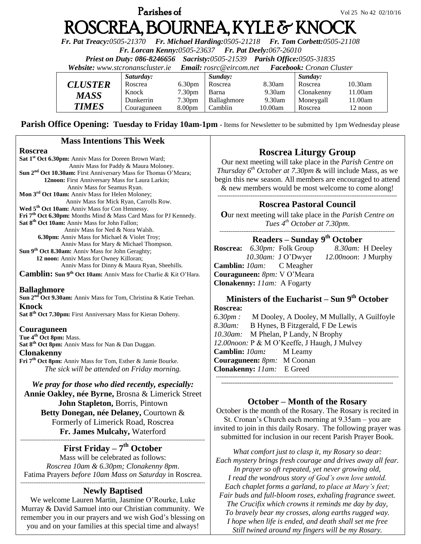# **Parishes of**  $Vol 25 No 42 02/10/16$ ROSCREA, BOURNEA, KYLE & KNOCK

*Fr. Pat Treacy:0505-21370 Fr. Michael Harding:0505-21218 Fr. Tom Corbett:0505-21108* 

*Fr. Lorcan Kenny:0505-23637 Fr. Pat Deely:067-26010* 

*Priest on Duty: 086-8246656 Sacristy:0505-21539 Parish Office:0505-31835* 

*Website: [www.stcronanscluster.ie](http://www.stcronanscluster.ie/) Email: [rosrc@eircom.net](mailto:rosrc@eircom.net) Facebook: Cronan Cluster* 

|                | Saturday:   |                    | Sunday:     |         | Sunday:    |            |
|----------------|-------------|--------------------|-------------|---------|------------|------------|
| <b>CLUSTER</b> | Roscrea     | 6.30 <sub>pm</sub> | Roscrea     | 8.30am  | Roscrea    | $10.30$ am |
| MASS           | Knock       | 7.30 <sub>pm</sub> | Barna       | 9.30am  | Clonakenny | 11.00am    |
|                | Dunkerrin   | 7.30 <sub>pm</sub> | Ballaghmore | 9.30am  | Moneygall  | 11.00am    |
| <b>TIMES</b>   | Couraguneen | 8.00 <sub>pm</sub> | Camblin     | 10.00am | Roscrea    | 12 noon    |

**Parish Office Opening: Tuesday to Friday 10am-1pm** - Items for Newsletter to be submitted by 1pm Wednesday please

#### **Mass Intentions This Week**

#### **Roscrea**

**Sat 1st Oct 6.30pm:** Anniv Mass for Doreen Brown Ward; Anniv Mass for Paddy & Maura Moloney. **Sun 2nd Oct 10.30am:** First Anniversary Mass for Thomas O'Meara; **12noon:** First Anniversary Mass for Laura Larkin; Anniv Mass for Seamus Ryan. **Mon 3rd Oct 10am:** Anniv Mass for Helen Moloney; Anniv Mass for Mick Ryan, Carrolls Row. **Wed 5th Oct 10am:** Anniv Mass for Con Hennessy. **Fri 7th Oct 6.30pm:** Months Mind & Mass Card Mass for PJ Kennedy. **Sat 8th Oct 10am:** Anniv Mass for John Fallon; Anniv Mass for Ned & Nora Walsh.  **6.30pm:** Anniv Mass for Michael & Violet Troy; Anniv Mass for Mary & Michael Thompson. **Sun 9th Oct 8.30am:** Anniv Mass for John Geraghty; **12 noon:** Anniv Mass for Owney Killoran;

Anniv Mass for Dinny & Maura Ryan, Sheehills.

**Camblin: Sun 9th Oct 10am:** Anniv Mass for Charlie & Kit O'Hara.

#### **Ballaghmore**

**Sun 2nd Oct 9.30am:** Anniv Mass for Tom, Christina & Katie Teehan. **Knock**

**Sat 8th Oct 7.30pm:** First Anniversary Mass for Kieran Doheny.

#### **Couraguneen**

**Tue 4th Oct 8pm:** Mass. **Sat 8th Oct 8pm:** Anniv Mass for Nan & Dan Duggan.

#### **Clonakenny**

**Fri 7th Oct 8pm:** Anniv Mass for Tom, Esther & Jamie Bourke. *The sick will be attended on Friday morning.*

#### *We pray for those who died recently, especially:*

**Annie Oakley, née Byrne,** Brosna & Limerick Street **John Stapleton,** Borris, Pintown **Betty Donegan, née Delaney,** Courtown &

Formerly of Limerick Road, Roscrea **Fr. James Mulcahy,** Waterford -----------------------------------------------------------------------------------------------------

## **First Friday – 7 th October**

Mass will be celebrated as follows: *Roscrea 10am & 6.30pm; Clonakenny 8pm*. Fatima Prayers *before 10am Mass on Saturday* in Roscrea. -----------------------------------------------------------------------------------------------------

## **Newly Baptised**

We welcome Lauren Martin, Jasmine O'Rourke, Luke Murray & David Samuel into our Christian community. We remember you in our prayers and we wish God's blessing on you and on your families at this special time and always!

## **Roscrea Liturgy Group**

Our next meeting will take place in the *Parish Centre on Thursday 6th October at 7.30pm* & will include Mass, as we begin this new season. All members are encouraged to attend & new members would be most welcome to come along! **--------------------------------------------------------------------------------------------------**

#### **Roscrea Pastoral Council**

**O**ur next meeting will take place in the *Parish Centre on Tues 4 th October at 7.30pm*.

#### ------------------------------------------------------------------------------------------------ **Readers – Sunday 9 th October**

**Roscrea:** *6.30pm:* Folk Group *8.30am:* H Deeley  *10.30am:* J O'Dwyer *12.00noon*: J Murphy **Camblin:** *10am:* C Meagher **Couraguneen:** *8pm:* V O'Meara **Clonakenny:** *11am:* A Fogarty

#### **Ministers of the Eucharist – Sun 9 th October Roscrea:**

*6.30pm :* M Dooley, A Dooley, M Mullally, A Guilfoyle *8.30am:* B Hynes, B Fitzgerald, F De Lewis *10.30am:* M Phelan, P Landy, N Brophy *12.00noon:* P & M O'Keeffe, J Haugh, J Mulvey **Camblin:** *10am:*M Leamy **Couraguneen:** *8pm:* M Coonan **Clonakenny:** *11am:* E Greed ---------------------------------------------------------------------------------------------------- **----------------------------------------------------------------------------------------------**

## **October – Month of the Rosary**

October is the month of the Rosary. The Rosary is recited in St. Cronan's Church each morning at 9.35am – you are invited to join in this daily Rosary. The following prayer was submitted for inclusion in our recent Parish Prayer Book.

*What comfort just to clasp it, my Rosary so dear: Each mystery brings fresh courage and drives away all fear. In prayer so oft repeated, yet never growing old, I read the wondrous story of God's own love untold. Each chaplet forms a garland, to place at Mary's feet; Fair buds and full-bloom roses, exhaling fragrance sweet. The Crucifix which crowns it reminds me day by day, To bravely bear my crosses, along earths rugged way. I hope when life is ended, and death shall set me free Still twined around my fingers will be my Rosary.*